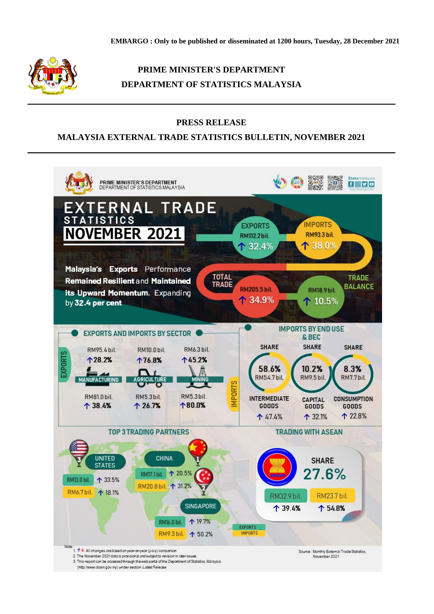

# **PRIME MINISTER'S DEPARTMENT DEPARTMENT OF STATISTICS MALAYSIA**

### **PRESS RELEASE**

## **MALAYSIA EXTERNAL TRADE STATISTICS BULLETIN, NOVEMBER 2021**

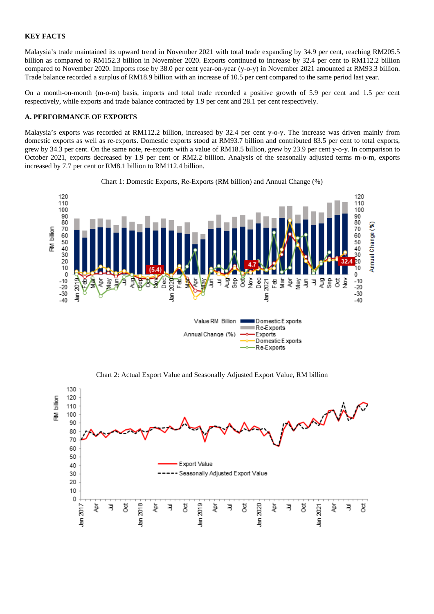#### **KEY FACTS**

Malaysia's trade maintained its upward trend in November 2021 with total trade expanding by 34.9 per cent, reaching RM205.5 billion as compared to RM152.3 billion in November 2020. Exports continued to increase by 32.4 per cent to RM112.2 billion compared to November 2020. Imports rose by 38.0 per cent year-on-year (y-o-y) in November 2021 amounted at RM93.3 billion. Trade balance recorded a surplus of RM18.9 billion with an increase of 10.5 per cent compared to the same period last year.

On a month-on-month (m-o-m) basis, imports and total trade recorded a positive growth of 5.9 per cent and 1.5 per cent respectively, while exports and trade balance contracted by 1.9 per cent and 28.1 per cent respectively.

#### **A. PERFORMANCE OF EXPORTS**

Malaysia's exports was recorded at RM112.2 billion, increased by 32.4 per cent y-o-y. The increase was driven mainly from domestic exports as well as re-exports. Domestic exports stood at RM93.7 billion and contributed 83.5 per cent to total exports, grew by 34.3 per cent. On the same note, re-exports with a value of RM18.5 billion, grew by 23.9 per cent y-o-y. In comparison to October 2021, exports decreased by 1.9 per cent or RM2.2 billion. Analysis of the seasonally adjusted terms m-o-m, exports increased by 7.7 per cent or RM8.1 billion to RM112.4 billion.



Chart 1: Domestic Exports, Re-Exports (RM billion) and Annual Change (%)

Chart 2: Actual Export Value and Seasonally Adjusted Export Value, RM billion

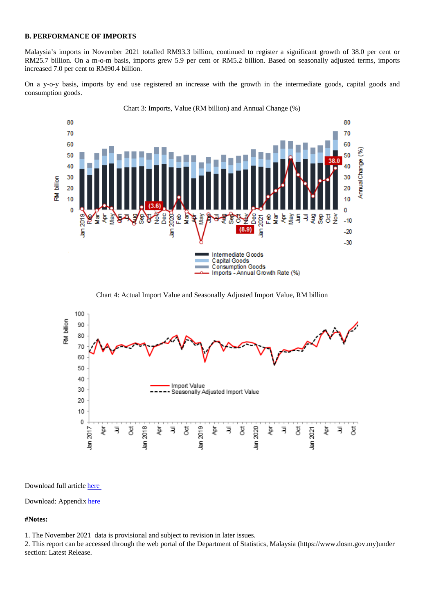B. FERRORMANCE OF INTOXIO

Malaysia's imports in November 2021 totalled RM93.3 billion, continued to register a significant growth of 38.0 per cent or RM25.7 billion. On a m-o-m basis, imports grew 5.9 per cent or RM5.2 billion. Based on seasonally adjusted terms, imports increased 7.0 per cent to RM90.4 billion.

On a y-o-y basis, imports by end use registered an increase with the growth in the intermediate goods, capital goods and consumption goods.

Chart 3: Imports, Value (RM billion) and Annual Change (%)

Chart 4: Actual Import Value and Seasonally Adjusted Import Value, RM billion

Download full articlehere

Download: Appendixhere

#Notes:

1. The November 2[021](https://dosm.gov.my/v1/uploads/files/1_Articles_By_Themes/External_Sector/ETS/11_2021/Appendix_BI.xlsx) data is provisional and subject to revision in later issues.

2. This report can be accessed through the web portal of the Department of Statistics, Malaysia (https://www.dosmdgerv.my) section: Latest Release.